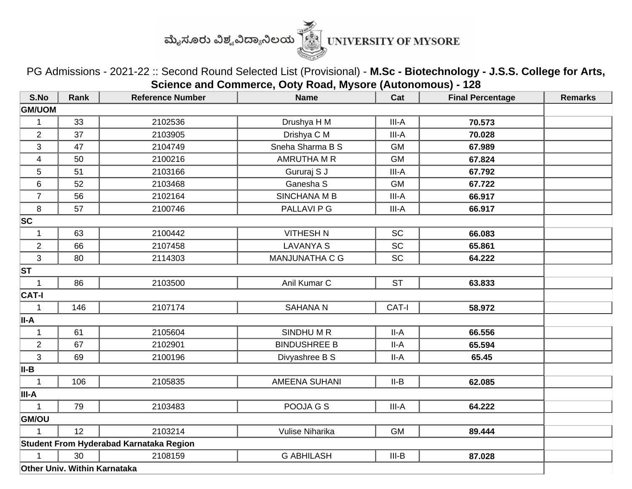

PG Admissions - 2021-22 :: Second Round Selected List (Provisional) - **M.Sc - Biotechnology - J.S.S. College for Arts, Science and Commerce, Ooty Road, Mysore (Autonomous) - 128**

| S.No                    | Rank                         | <b>Reference Number</b>                 | <b>Name</b>          | Cat       | <b>Final Percentage</b> | <b>Remarks</b> |
|-------------------------|------------------------------|-----------------------------------------|----------------------|-----------|-------------------------|----------------|
| <b>GM/UOM</b>           |                              |                                         |                      |           |                         |                |
| $\mathbf 1$             | 33                           | 2102536                                 | Drushya H M          | III-A     | 70.573                  |                |
| $\overline{2}$          | 37                           | 2103905                                 | Drishya C M          | III-A     | 70.028                  |                |
| $\mathbf{3}$            | 47                           | 2104749                                 | Sneha Sharma B S     | <b>GM</b> | 67.989                  |                |
| $\overline{\mathbf{4}}$ | 50                           | 2100216                                 | AMRUTHA M R          | <b>GM</b> | 67.824                  |                |
| 5                       | 51                           | 2103166                                 | Gururaj S J          | III-A     | 67.792                  |                |
| $\,6$                   | 52                           | 2103468                                 | Ganesha S            | <b>GM</b> | 67.722                  |                |
| $\overline{7}$          | 56                           | 2102164                                 | SINCHANA M B         | III-A     | 66.917                  |                |
| 8                       | 57                           | 2100746                                 | PALLAVI P G          | III-A     | 66.917                  |                |
| <b>SC</b>               |                              |                                         |                      |           |                         |                |
| $\mathbf 1$             | 63                           | 2100442                                 | <b>VITHESH N</b>     | <b>SC</b> | 66.083                  |                |
| $\boldsymbol{2}$        | 66                           | 2107458                                 | <b>LAVANYA S</b>     | <b>SC</b> | 65.861                  |                |
| 3                       | 80                           | 2114303                                 | MANJUNATHA C G       | <b>SC</b> | 64.222                  |                |
| <b>ST</b>               |                              |                                         |                      |           |                         |                |
| $\mathbf{1}$            | 86                           | 2103500                                 | Anil Kumar C         | <b>ST</b> | 63.833                  |                |
| <b>CAT-I</b>            |                              |                                         |                      |           |                         |                |
| $\mathbf 1$             | 146                          | 2107174                                 | <b>SAHANA N</b>      | CAT-I     | 58.972                  |                |
| II-A                    |                              |                                         |                      |           |                         |                |
| $\mathbf{1}$            | 61                           | 2105604                                 | SINDHUMR             | $II-A$    | 66.556                  |                |
| $\overline{2}$          | 67                           | 2102901                                 | <b>BINDUSHREE B</b>  | II-A      | 65.594                  |                |
| 3                       | 69                           | 2100196                                 | Divyashree B S       | II-A      | 65.45                   |                |
| II-B                    |                              |                                         |                      |           |                         |                |
| $\overline{1}$          | 106                          | 2105835                                 | <b>AMEENA SUHANI</b> | $II-B$    | 62.085                  |                |
| III-A                   |                              |                                         |                      |           |                         |                |
| $\mathbf{1}$            | 79                           | 2103483                                 | POOJA G S            | III-A     | 64.222                  |                |
| GM/OU                   |                              |                                         |                      |           |                         |                |
| $\mathbf 1$             | 12                           | 2103214                                 | Vulise Niharika      | <b>GM</b> | 89.444                  |                |
|                         |                              | Student From Hyderabad Karnataka Region |                      |           |                         |                |
|                         | 30                           | 2108159                                 | <b>G ABHILASH</b>    | $III-B$   | 87.028                  |                |
|                         | Other Univ. Within Karnataka |                                         |                      |           |                         |                |